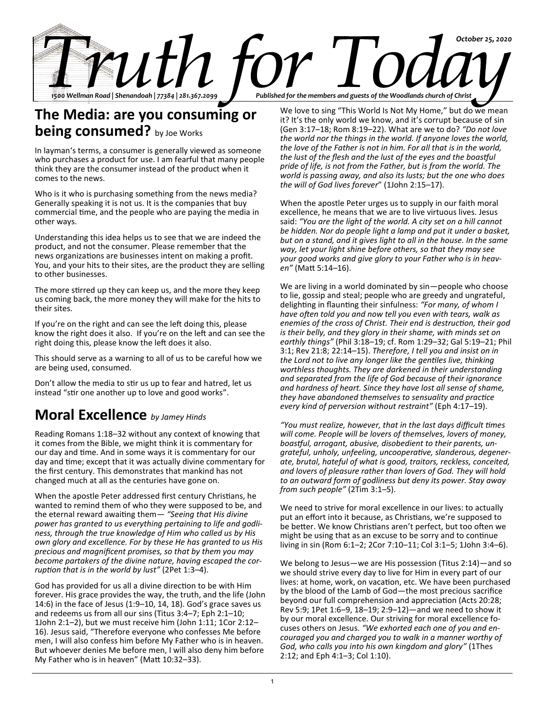

## **The Media: are you consuming or being consumed?** by Joe Works

In layman's terms, a consumer is generally viewed as someone who purchases a product for use. I am fearful that many people think they are the consumer instead of the product when it comes to the news.

Who is it who is purchasing something from the news media? Generally speaking it is not us. It is the companies that buy commercial time, and the people who are paying the media in other ways.

Understanding this idea helps us to see that we are indeed the product, and not the consumer. Please remember that the news organizations are businesses intent on making a profit. You, and your hits to their sites, are the product they are selling to other businesses.

The more stirred up they can keep us, and the more they keep us coming back, the more money they will make for the hits to their sites.

If you're on the right and can see the left doing this, please know the right does it also. If you're on the left and can see the right doing this, please know the left does it also.

This should serve as a warning to all of us to be careful how we are being used, consumed.

Don't allow the media to stir us up to fear and hatred, let us instead "stir one another up to love and good works".

## **Moral Excellence** *by Jamey Hinds*

Reading Romans 1:18–32 without any context of knowing that it comes from the Bible, we might think it is commentary for our day and time. And in some ways it is commentary for our day and time; except that it was actually divine commentary for the first century. This demonstrates that mankind has not changed much at all as the centuries have gone on.

When the apostle Peter addressed first century Christians, he wanted to remind them of who they were supposed to be, and the eternal reward awaiting them— *"Seeing that His divine power has granted to us everything pertaining to life and godliness, through the true knowledge of Him who called us by His own glory and excellence. For by these He has granted to us His precious and magnificent promises, so that by them you may become partakers of the divine nature, having escaped the corruption that is in the world by lust"* (2Pet 1:3–4).

God has provided for us all a divine direction to be with Him forever. His grace provides the way, the truth, and the life (John 14:6) in the face of Jesus (1:9–10, 14, 18). God's grace saves us and redeems us from all our sins (Titus 3:4–7; Eph 2:1–10; 1John 2:1–2), but we must receive him (John 1:11; 1Cor 2:12– 16). Jesus said, "Therefore everyone who confesses Me before men, I will also confess him before My Father who is in heaven. But whoever denies Me before men, I will also deny him before My Father who is in heaven" (Matt 10:32–33).

We love to sing "This World Is Not My Home," but do we mean it? It's the only world we know, and it's corrupt because of sin (Gen 3:17–18; Rom 8:19–22). What are we to do? *"Do not love the world nor the things in the world. If anyone loves the world, the love of the Father is not in him. For all that is in the world, the lust of the flesh and the lust of the eyes and the boastful pride of life, is not from the Father, but is from the world. The world is passing away, and also its lusts; but the one who does the will of God lives forever*" (1John 2:15–17).

When the apostle Peter urges us to supply in our faith moral excellence, he means that we are to live virtuous lives. Jesus said: *"You are the light of the world. A city set on a hill cannot be hidden. Nor do people light a lamp and put it under a basket, but on a stand, and it gives light to all in the house. In the same way, let your light shine before others, so that they may see your good works and give glory to your Father who is in heaven"* (Matt 5:14–16).

We are living in a world dominated by sin—people who choose to lie, gossip and steal; people who are greedy and ungrateful, delighting in flaunting their sinfulness: *"For many, of whom I have often told you and now tell you even with tears, walk as enemies of the cross of Christ. Their end is destruction, their god is their belly, and they glory in their shame, with minds set on earthly things"* (Phil 3:18–19; cf. Rom 1:29–32; Gal 5:19–21; Phil 3:1; Rev 21:8; 22:14–15). *Therefore, I tell you and insist on in the Lord not to live any longer like the gentiles live, thinking worthless thoughts. They are darkened in their understanding and separated from the life of God because of their ignorance and hardness of heart. Since they have lost all sense of shame, they have abandoned themselves to sensuality and practice every kind of perversion without restraint"* (Eph 4:17–19).

*"You must realize, however, that in the last days difficult times will come. People will be lovers of themselves, lovers of money, boastful, arrogant, abusive, disobedient to their parents, ungrateful, unholy, unfeeling, uncooperative, slanderous, degenerate, brutal, hateful of what is good, traitors, reckless, conceited, and lovers of pleasure rather than lovers of God. They will hold to an outward form of godliness but deny its power. Stay away from such people"* (2Tim 3:1–5).

We need to strive for moral excellence in our lives: to actually put an effort into it because, as Christians, we're supposed to be better. We know Christians aren't perfect, but too often we might be using that as an excuse to be sorry and to continue living in sin (Rom 6:1–2; 2Cor 7:10–11; Col 3:1–5; 1John 3:4–6).

We belong to Jesus—we are His possession (Titus 2:14)—and so we should strive every day to live for Him in every part of our lives: at home, work, on vacation, etc. We have been purchased by the blood of the Lamb of God—the most precious sacrifice beyond our full comprehension and appreciation (Acts 20:28; Rev 5:9; 1Pet 1:6–9, 18–19; 2:9–12)—and we need to show it by our moral excellence. Our striving for moral excellence focuses others on Jesus. *"We exhorted each one of you and encouraged you and charged you to walk in a manner worthy of God, who calls you into his own kingdom and glory"* (1Thes 2:12; and Eph 4:1–3; Col 1:10).